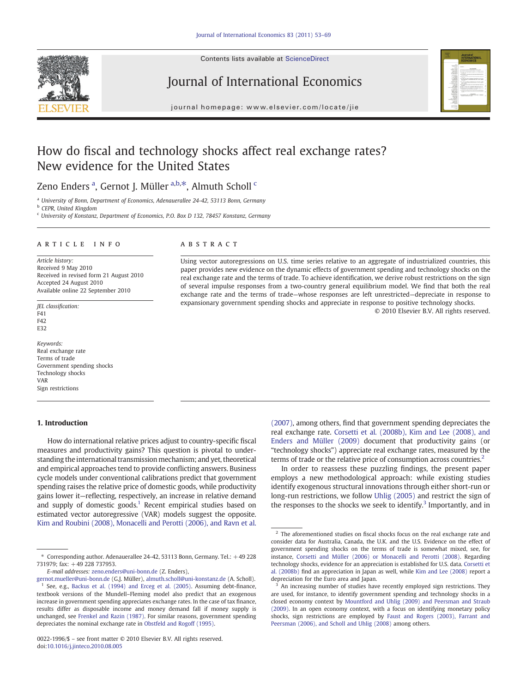

## Journal of International Economics



journal homepage: www.elsevier.com/locate/jie

## How do fiscal and technology shocks affect real exchange rates? New evidence for the United States

Zeno Enders <sup>a</sup>, Gernot J. Müller <sup>a,b,\*</sup>, Almuth Scholl <sup>c</sup>

<sup>a</sup> University of Bonn, Department of Economics, Adenauerallee 24-42, 53113 Bonn, Germany

<sup>b</sup> CEPR, United Kingdom

<sup>c</sup> University of Konstanz, Department of Economics, P.O. Box D 132, 78457 Konstanz, Germany

### article info abstract

Article history: Received 9 May 2010 Received in revised form 21 August 2010 Accepted 24 August 2010 Available online 22 September 2010

JEL classification: F41 F42 E<sub>32</sub>

Keywords: Real exchange rate Terms of trade Government spending shocks Technology shocks VAR Sign restrictions

### 1. Introduction

Using vector autoregressions on U.S. time series relative to an aggregate of industrialized countries, this paper provides new evidence on the dynamic effects of government spending and technology shocks on the real exchange rate and the terms of trade. To achieve identification, we derive robust restrictions on the sign of several impulse responses from a two-country general equilibrium model. We find that both the real exchange rate and the terms of trade—whose responses are left unrestricted—depreciate in response to expansionary government spending shocks and appreciate in response to positive technology shocks.

© 2010 Elsevier B.V. All rights reserved.

How do international relative prices adjust to country-specific fiscal measures and productivity gains? This question is pivotal to understanding the international transmission mechanism; and yet, theoretical and empirical approaches tend to provide conflicting answers. Business cycle models under conventional calibrations predict that government spending raises the relative price of domestic goods, while productivity gains lower it—reflecting, respectively, an increase in relative demand and supply of domestic goods.<sup>1</sup> Recent empirical studies based on estimated vector autoregressive (VAR) models suggest the opposite. [Kim and Roubini \(2008\), Monacelli and Perotti \(2006\), and Ravn et al.](#page--1-0) [\(2007\)](#page--1-0), among others, find that government spending depreciates the real exchange rate. [Corsetti et al. \(2008b\), Kim and Lee \(2008\), and](#page--1-0) [Enders and Müller \(2009\)](#page--1-0) document that productivity gains (or "technology shocks") appreciate real exchange rates, measured by the terms of trade or the relative price of consumption across countries.<sup>2</sup>

In order to reassess these puzzling findings, the present paper employs a new methodological approach: while existing studies identify exogenous structural innovations through either short-run or long-run restrictions, we follow [Uhlig \(2005\)](#page--1-0) and restrict the sign of the responses to the shocks we seek to identify.<sup>3</sup> Importantly, and in

 $*$  Corresponding author. Adenauerallee 24-42, 53113 Bonn, Germany. Tel.:  $+49228$ 731979; fax: +49 228 737953.

E-mail addresses: [zeno.enders@uni-bonn.de](mailto:zeno.enders@uni-bonn.de) (Z. Enders),

[gernot.mueller@uni-bonn.de](mailto:gernot.mueller@uni-bonn.de) (G.J. Müller), [almuth.scholl@uni-konstanz.de](mailto:almuth.scholl@uni-konstanz.de) (A. Scholl). <sup>1</sup> See, e.g., [Backus et al. \(1994\) and Erceg et al. \(2005\)](#page--1-0). Assuming debt-finance, textbook versions of the Mundell–Fleming model also predict that an exogenous increase in government spending appreciates exchange rates. In the case of tax finance, results differ as disposable income and money demand fall if money supply is unchanged, see [Frenkel and Razin \(1987\)](#page--1-0). For similar reasons, government spending depreciates the nominal exchange rate in [Obstfeld and Rogoff \(1995\)](#page--1-0).

<sup>0022-1996/\$</sup> – see front matter © 2010 Elsevier B.V. All rights reserved. doi:[10.1016/j.jinteco.2010.08.005](http://dx.doi.org/10.1016/j.jinteco.2010.08.005)

 $2$  The aforementioned studies on fiscal shocks focus on the real exchange rate and consider data for Australia, Canada, the U.K. and the U.S. Evidence on the effect of government spending shocks on the terms of trade is somewhat mixed, see, for instance, [Corsetti and Müller \(2006\) or Monacelli and Perotti \(2008\)](#page--1-0). Regarding technology shocks, evidence for an appreciation is established for U.S. data. [Corsetti et](#page--1-0) [al. \(2008b\)](#page--1-0) find an appreciation in Japan as well, while [Kim and Lee \(2008\)](#page--1-0) report a depreciation for the Euro area and Japan.

An increasing number of studies have recently employed sign restrictions. They are used, for instance, to identify government spending and technology shocks in a closed economy context by [Mountford and Uhlig \(2009\) and Peersman and Straub](#page--1-0) [\(2009\).](#page--1-0) In an open economy context, with a focus on identifying monetary policy shocks, sign restrictions are employed by [Faust and Rogers \(2003\), Farrant and](#page--1-0) [Peersman \(2006\), and Scholl and Uhlig \(2008\)](#page--1-0) among others.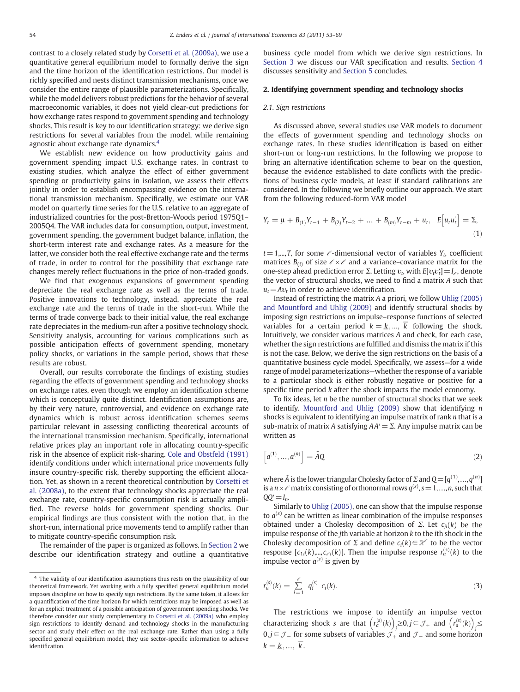contrast to a closely related study by [Corsetti et al. \(2009a\),](#page--1-0) we use a quantitative general equilibrium model to formally derive the sign and the time horizon of the identification restrictions. Our model is richly specified and nests distinct transmission mechanisms, once we consider the entire range of plausible parameterizations. Specifically, while the model delivers robust predictions for the behavior of several macroeconomic variables, it does not yield clear-cut predictions for how exchange rates respond to government spending and technology shocks. This result is key to our identification strategy: we derive sign restrictions for several variables from the model, while remaining agnostic about exchange rate dynamics.<sup>4</sup>

We establish new evidence on how productivity gains and government spending impact U.S. exchange rates. In contrast to existing studies, which analyze the effect of either government spending or productivity gains in isolation, we assess their effects jointly in order to establish encompassing evidence on the international transmission mechanism. Specifically, we estimate our VAR model on quarterly time series for the U.S. relative to an aggregate of industrialized countries for the post-Bretton-Woods period 1975Q1– 2005Q4. The VAR includes data for consumption, output, investment, government spending, the government budget balance, inflation, the short-term interest rate and exchange rates. As a measure for the latter, we consider both the real effective exchange rate and the terms of trade, in order to control for the possibility that exchange rate changes merely reflect fluctuations in the price of non-traded goods.

We find that exogenous expansions of government spending depreciate the real exchange rate as well as the terms of trade. Positive innovations to technology, instead, appreciate the real exchange rate and the terms of trade in the short-run. While the terms of trade converge back to their initial value, the real exchange rate depreciates in the medium-run after a positive technology shock. Sensitivity analysis, accounting for various complications such as possible anticipation effects of government spending, monetary policy shocks, or variations in the sample period, shows that these results are robust.

Overall, our results corroborate the findings of existing studies regarding the effects of government spending and technology shocks on exchange rates, even though we employ an identification scheme which is conceptually quite distinct. Identification assumptions are, by their very nature, controversial, and evidence on exchange rate dynamics which is robust across identification schemes seems particular relevant in assessing conflicting theoretical accounts of the international transmission mechanism. Specifically, international relative prices play an important role in allocating country-specific risk in the absence of explicit risk-sharing. [Cole and Obstfeld \(1991\)](#page--1-0) identify conditions under which international price movements fully insure country-specific risk, thereby supporting the efficient allocation. Yet, as shown in a recent theoretical contribution by [Corsetti et](#page--1-0) [al. \(2008a\),](#page--1-0) to the extent that technology shocks appreciate the real exchange rate, country-specific consumption risk is actually amplified. The reverse holds for government spending shocks. Our empirical findings are thus consistent with the notion that, in the short-run, international price movements tend to amplify rather than to mitigate country-specific consumption risk.

The remainder of the paper is organized as follows. In Section 2 we describe our identification strategy and outline a quantitative business cycle model from which we derive sign restrictions. In [Section 3](#page--1-0) we discuss our VAR specification and results. [Section 4](#page--1-0) discusses sensitivity and [Section 5](#page--1-0) concludes.

### 2. Identifying government spending and technology shocks

### 2.1. Sign restrictions

As discussed above, several studies use VAR models to document the effects of government spending and technology shocks on exchange rates. In these studies identification is based on either short-run or long-run restrictions. In the following we propose to bring an alternative identification scheme to bear on the question, because the evidence established to date conflicts with the predictions of business cycle models, at least if standard calibrations are considered. In the following we briefly outline our approach. We start from the following reduced-form VAR model

$$
Y_t = \mu + B_{(1)}Y_{t-1} + B_{(2)}Y_{t-2} + \dots + B_{(m)}Y_{t-m} + u_t, \quad E[u_t u_t'] = \Sigma,
$$
\n(1)

 $t = 1,...,T$ , for some  $\ell$ -dimensional vector of variables  $Y_t$ , coefficient matrices  $B_{(i)}$  of size  $\ell \times \ell$  and a variance–covariance matrix for the one-step ahead prediction error Σ. Letting  $v_t$ , with  $E[v_t v_t'] = I_{\ell}$ , denote the vector of structural shocks, we need to find a matrix A such that  $u_t = Av_t$  in order to achieve identification.

Instead of restricting the matrix A a priori, we follow [Uhlig \(2005\)](#page--1-0) [and Mountford and Uhlig \(2009\)](#page--1-0) and identify structural shocks by imposing sign restrictions on impulse–response functions of selected variables for a certain period  $k = \underline{k}, ..., \overline{k}$  following the shock. Intuitively, we consider various matrices A and check, for each case, whether the sign restrictions are fulfilled and dismiss the matrix if this is not the case. Below, we derive the sign restrictions on the basis of a quantitative business cycle model. Specifically, we assess—for a wide range of model parameterizations—whether the response of a variable to a particular shock is either robustly negative or positive for a specific time period k after the shock impacts the model economy.

To fix ideas, let  $n$  be the number of structural shocks that we seek to identify. Mountford and Uhlig  $(2009)$  show that identifying  $n$ shocks is equivalent to identifying an impulse matrix of rank  $n$  that is a sub-matrix of matrix A satisfying  $AA'=\Sigma$ . Any impulse matrix can be written as

$$
\left[a^{(1)},...,a^{(n)}\right] = \tilde{A}Q\tag{2}
$$

where  $\tilde{A}$  is the lower triangular Cholesky factor of  $\Sigma$  and  $Q = [q^{(1)},...,q^{(n)}]$ is a  $n \times \ell$  matrix consisting of orthonormal rows  $q^{(s)}$ ,  $s = 1,...,n$ , such that  $OO'=I_n$ .

Similarly to [Uhlig \(2005\),](#page--1-0) one can show that the impulse response to  $a^{(s)}$  can be written as linear combination of the impulse responses obtained under a Cholesky decomposition of  $\Sigma$ . Let  $c_{ii}(k)$  be the impulse response of the jth variable at horizon k to the ith shock in the Cholesky decomposition of  $\Sigma$  and define  $c_i(k) \in \mathbb{R}^\ell$  to be the vector response  $[c_{1i}(k),...,c_{\ell i}(k)]$ . Then the impulse response  $r_a^{(s)}(k)$  to the impulse vector  $a^{(s)}$  is given by

$$
r_a^{(s)}(k) = \sum_{i=1}^{\ell} q_i^{(s)} c_i(k).
$$
 (3)

The restrictions we impose to identify an impulse vector characterizing shock s are that  $\left( r_a^{(s)}(k) \right)$   $\geq 0, j \in \mathcal{J}_+$  and  $\left( r_a^{(s)}(k) \right)$ 0, *j* ∈ *J* − for some subsets of variables  $\mathcal{J}_+$  and  $\mathcal{J}_-$  and some horizon  $k = \underline{k} , \dots, \overline{k}$ .

<sup>4</sup> The validity of our identification assumptions thus rests on the plausibility of our theoretical framework. Yet working with a fully specified general equilibrium model imposes discipline on how to specify sign restrictions. By the same token, it allows for a quantification of the time horizon for which restrictions may be imposed as well as for an explicit treatment of a possible anticipation of government spending shocks. We therefore consider our study complementary to [Corsetti et al. \(2009a\)](#page--1-0) who employ sign restrictions to identify demand and technology shocks in the manufacturing sector and study their effect on the real exchange rate. Rather than using a fully specified general equilibrium model, they use sector-specific information to achieve identification.